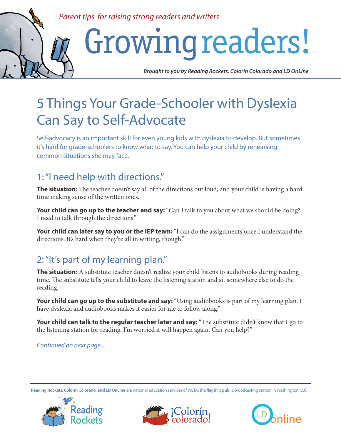#### *Parent tips for raising strong readers and writers*

# Growing readers!

*Brought to you by Reading Rockets, Colorín Colorado and LD OnLine*

## 5 Things Your Grade-Schooler with Dyslexia Can Say to Self-Advocate

Self-advocacy is an important skill for even young kids with dyslexia to develop. But sometimes it's hard for grade-schoolers to know what to say. You can help your child by rehearsing common situations she may face.

#### 1: "I need help with directions."

**The situation:** The teacher doesn't say all of the directions out loud, and your child is having a hard time making sense of the written ones.

Your child can go up to the teacher and say: "Can I talk to you about what we should be doing? I need to talk through the directions."

Your child can later say to you or the IEP team: "I can do the assignments once I understand the directions. It's hard when they're all in writing, though."

### 2: "It's part of my learning plan."

**The situation:** A substitute teacher doesn't realize your child listens to audiobooks during reading time. The substitute tells your child to leave the listening station and sit somewhere else to do the reading.

Your child can go up to the substitute and say: "Using audiobooks is part of my learning plan. I have dyslexia and audiobooks makes it easier for me to follow along."

Your child can talk to the regular teacher later and say: "The substitute didn't know that I go to the listening station for reading. I'm worried it will happen again. Can you help?"

*Continued on next page ...*

**Reading Rockets, Colorín Colorado, and LD OnLine** are national education services of WETA, the flagship public broadcasting station in Washington, D.C.